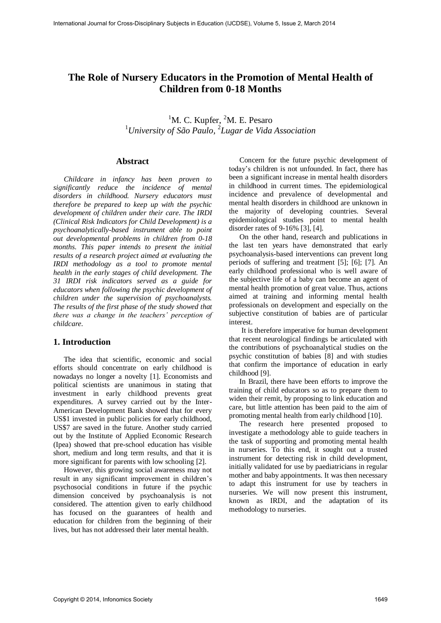# **The Role of Nursery Educators in the Promotion of Mental Health of Children from 0-18 Months**

<sup>1</sup>M. C. Kupfer, <sup>2</sup>M. E. Pesaro <sup>1</sup>*University of São Paulo,*  2 *Lugar de Vida Association*

### **Abstract**

*Childcare in infancy has been proven to significantly reduce the incidence of mental disorders in childhood. Nursery educators must therefore be prepared to keep up with the psychic development of children under their care. The IRDI (Clinical Risk Indicators for Child Development) is a psychoanalytically-based instrument able to point out developmental problems in children from 0-18 months. This paper intends to present the initial results of a research project aimed at evaluating the IRDI methodology as a tool to promote mental health in the early stages of child development. The 31 IRDI risk indicators served as a guide for educators when following the psychic development of children under the supervision of psychoanalysts. The results of the first phase of the study showed that there was a change in the teachers' perception of childcare.* 

#### **1. Introduction**

The idea that scientific, economic and social efforts should concentrate on early childhood is nowadays no longer a novelty [1]. Economists and political scientists are unanimous in stating that investment in early childhood prevents great expenditures. A survey carried out by the Inter-American Development Bank showed that for every US\$1 invested in public policies for early childhood, US\$7 are saved in the future. Another study carried out by the Institute of Applied Economic Research (Ipea) showed that pre-school education has visible short, medium and long term results, and that it is more significant for parents with low schooling [2].

However, this growing social awareness may not result in any significant improvement in children's psychosocial conditions in future if the psychic dimension conceived by psychoanalysis is not considered. The attention given to early childhood has focused on the guarantees of health and education for children from the beginning of their lives, but has not addressed their later mental health.

Concern for the future psychic development of today's children is not unfounded. In fact, there has been a significant increase in mental health disorders in childhood in current times. The epidemiological incidence and prevalence of developmental and mental health disorders in childhood are unknown in the majority of developing countries. Several epidemiological studies point to mental health disorder rates of 9-16% [3], [4].

On the other hand, research and publications in the last ten years have demonstrated that early psychoanalysis-based interventions can prevent long periods of suffering and treatment [5]; [6]; [7]. An early childhood professional who is well aware of the subjective life of a baby can become an agent of mental health promotion of great value. Thus, actions aimed at training and informing mental health professionals on development and especially on the subjective constitution of babies are of particular interest.

 It is therefore imperative for human development that recent neurological findings be articulated with the contributions of psychoanalytical studies on the psychic constitution of babies [8] and with studies that confirm the importance of education in early childhood [9].

In Brazil, there have been efforts to improve the training of child educators so as to prepare them to widen their remit, by proposing to link education and care, but little attention has been paid to the aim of promoting mental health from early childhood [10].

The research here presented proposed to investigate a methodology able to guide teachers in the task of supporting and promoting mental health in nurseries. To this end, it sought out a trusted instrument for detecting risk in child development, initially validated for use by paediatricians in regular mother and baby appointments. It was then necessary to adapt this instrument for use by teachers in nurseries. We will now present this instrument, known as IRDI, and the adaptation of its methodology to nurseries.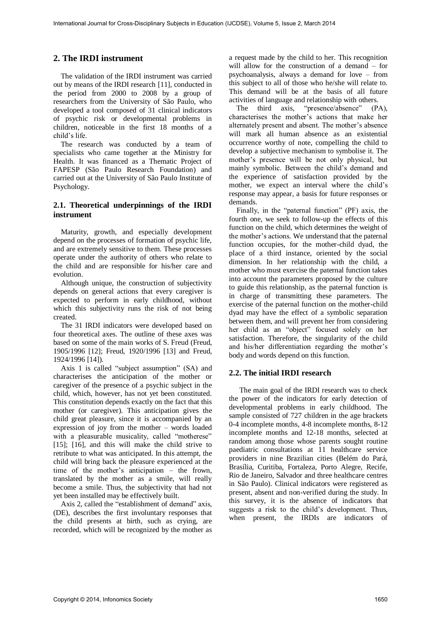# **2. The IRDI instrument**

 The validation of the IRDI instrument was carried out by means of the IRDI research [11], conducted in the period from 2000 to 2008 by a group of researchers from the University of São Paulo, who developed a tool composed of 31 clinical indicators of psychic risk or developmental problems in children, noticeable in the first 18 months of a child's life.

 The research was conducted by a team of specialists who came together at the Ministry for Health. It was financed as a Thematic Project of FAPESP (São Paulo Research Foundation) and carried out at the University of São Paulo Institute of Psychology.

### **2.1. Theoretical underpinnings of the IRDI instrument**

 Maturity, growth, and especially development depend on the processes of formation of psychic life, and are extremely sensitive to them. These processes operate under the authority of others who relate to the child and are responsible for his/her care and evolution.

 Although unique, the construction of subjectivity depends on general actions that every caregiver is expected to perform in early childhood, without which this subjectivity runs the risk of not being created.

 The 31 IRDI indicators were developed based on four theoretical axes. The outline of these axes was based on some of the main works of S. Freud (Freud, 1905/1996 [12]; Freud, 1920/1996 [13] and Freud, 1924/1996 [14]).

 Axis 1 is called "subject assumption" (SA) and characterises the anticipation of the mother or caregiver of the presence of a psychic subject in the child, which, however, has not yet been constituted. This constitution depends exactly on the fact that this mother (or caregiver). This anticipation gives the child great pleasure, since it is accompanied by an expression of joy from the mother – words loaded with a pleasurable musicality, called "motherese" [15]; [16], and this will make the child strive to retribute to what was anticipated. In this attempt, the child will bring back the pleasure experienced at the time of the mother's anticipation – the frown, translated by the mother as a smile, will really become a smile. Thus, the subjectivity that had not yet been installed may be effectively built.

 Axis 2, called the "establishment of demand" axis, (DE), describes the first involuntary responses that the child presents at birth, such as crying, are recorded, which will be recognized by the mother as a request made by the child to her. This recognition will allow for the construction of a demand – for psychoanalysis, always a demand for love – from this subject to all of those who he/she will relate to. This demand will be at the basis of all future activities of language and relationship with others.

The third axis, "presence/absence" (PA), characterises the mother's actions that make her alternately present and absent. The mother's absence will mark all human absence as an existential occurrence worthy of note, compelling the child to develop a subjective mechanism to symbolise it. The mother's presence will be not only physical, but mainly symbolic. Between the child's demand and the experience of satisfaction provided by the mother, we expect an interval where the child's response may appear, a basis for future responses or demands.

 Finally, in the "paternal function" (PF) axis, the fourth one, we seek to follow-up the effects of this function on the child, which determines the weight of the mother's actions. We understand that the paternal function occupies, for the mother-child dyad, the place of a third instance, oriented by the social dimension. In her relationship with the child, a mother who must exercise the paternal function takes into account the parameters proposed by the culture to guide this relationship, as the paternal function is in charge of transmitting these parameters. The exercise of the paternal function on the mother-child dyad may have the effect of a symbolic separation between them, and will prevent her from considering her child as an "object" focused solely on her satisfaction. Therefore, the singularity of the child and his/her differentiation regarding the mother's body and words depend on this function.

#### **2.2. The initial IRDI research**

The main goal of the IRDI research was to check the power of the indicators for early detection of developmental problems in early childhood. The sample consisted of 727 children in the age brackets 0-4 incomplete months, 4-8 incomplete months, 8-12 incomplete months and 12-18 months, selected at random among those whose parents sought routine paediatric consultations at 11 healthcare service providers in nine Brazilian cities (Belém do Pará, Brasília, Curitiba, Fortaleza, Porto Alegre, Recife, Rio de Janeiro, Salvador and three healthcare centres in São Paulo). Clinical indicators were registered as present, absent and non-verified during the study. In this survey, it is the absence of indicators that suggests a risk to the child's development. Thus, when present, the IRDIs are indicators of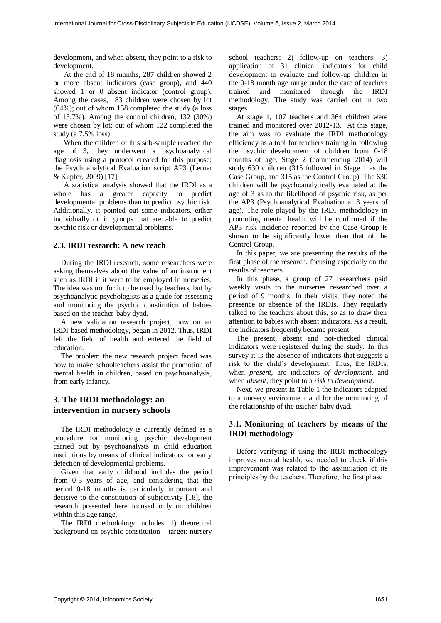development, and when absent, they point to a risk to development.

At the end of 18 months, 287 children showed 2 or more absent indicators (case group), and 440 showed 1 or 0 absent indicator (control group). Among the cases, 183 children were chosen by lot (64%); out of whom 158 completed the study (a loss of 13.7%). Among the control children, 132 (30%) were chosen by lot; out of whom 122 completed the study (a 7.5% loss).

When the children of this sub-sample reached the age of 3, they underwent a psychoanalytical diagnosis using a protocol created for this purpose: the Psychoanalytical Evaluation script AP3 (Lerner & Kupfer, 2009) [17].

A statistical analysis showed that the IRDI as a whole has a greater capacity to predict developmental problems than to predict psychic risk. Additionally, it pointed out some indicators, either individually or in groups that are able to predict psychic risk or developmental problems.

#### **2.3. IRDI research: A new reach**

 During the IRDI research, some researchers were asking themselves about the value of an instrument such as IRDI if it were to be employed in nurseries. The idea was not for it to be used by teachers, but by psychoanalytic psychologists as a guide for assessing and monitoring the psychic constitution of babies based on the teacher-baby dyad.

 A new validation research project, now on an IRDI-based methodology, began in 2012. Thus, IRDI left the field of health and entered the field of education.

 The problem the new research project faced was how to make schoolteachers assist the promotion of mental health in children, based on psychoanalysis, from early infancy.

# **3. The IRDI methodology: an intervention in nursery schools**

 The IRDI methodology is currently defined as a procedure for monitoring psychic development carried out by psychoanalysts in child education institutions by means of clinical indicators for early detection of developmental problems.

 Given that early childhood includes the period from 0-3 years of age, and considering that the period 0-18 months is particularly important and decisive to the constitution of subjectivity [18], the research presented here focused only on children within this age range.

 The IRDI methodology includes: 1) theoretical background on psychic constitution – target: nursery

school teachers; 2) follow-up on teachers; 3) application of 31 clinical indicators for child development to evaluate and follow-up children in the 0-18 month age range under the care of teachers trained and monitored through the IRDI methodology. The study was carried out in two stages.

 At stage 1, 107 teachers and 364 children were trained and monitored over 2012-13. At this stage, the aim was to evaluate the IRDI methodology efficiency as a tool for teachers training in following the psychic development of children from 0-18 months of age. Stage 2 (commencing 2014) will study 630 children (315 followed in Stage 1 as the Case Group, and 315 as the Control Group). The 630 children will be psychoanalytically evaluated at the age of 3 as to the likelihood of psychic risk, as per the AP3 (Psychoanalytical Evaluation at 3 years of age). The role played by the IRDI methodology in promoting mental health will be confirmed if the AP3 risk incidence reported by the Case Group is shown to be significantly lower than that of the Control Group.

 In this paper, we are presenting the results of the first phase of the research, focusing especially on the results of teachers.

 In this phase, a group of 27 researchers paid weekly visits to the nurseries researched over a period of 9 months. In their visits, they noted the presence or absence of the IRDIs. They regularly talked to the teachers about this, so as to draw their attention to babies with absent indicators. As a result, the indicators frequently became present.

 The present, absent and not-checked clinical indicators were registered during the study. In this survey it is the absence of indicators that suggests a risk to the child's development. Thus, the IRDIs, when *present*, are indicators *of development*, and when *absent*, they point to a *risk to development*.

 Next, we present in Table 1 the indicators adapted to a nursery environment and for the monitoring of the relationship of the teacher-baby dyad.

### **3.1. Monitoring of teachers by means of the IRDI methodology**

 Before verifying if using the IRDI methodology improves mental health, we needed to check if this improvement was related to the assimilation of its principles by the teachers. Therefore, the first phase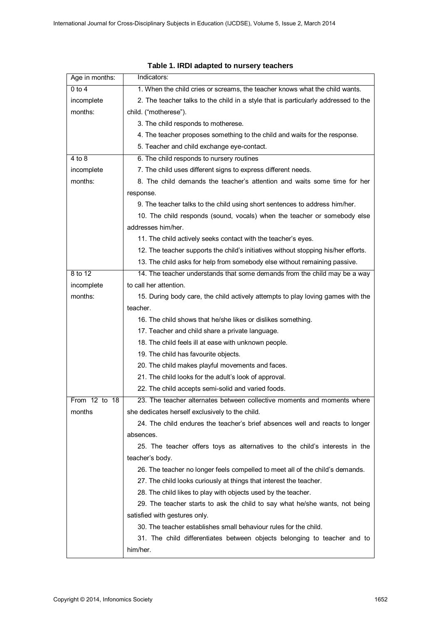| Age in months: | Indicators:                                                                        |  |  |  |  |  |
|----------------|------------------------------------------------------------------------------------|--|--|--|--|--|
| 0 to 4         | 1. When the child cries or screams, the teacher knows what the child wants.        |  |  |  |  |  |
| incomplete     | 2. The teacher talks to the child in a style that is particularly addressed to the |  |  |  |  |  |
| months:        | child. ("motherese").                                                              |  |  |  |  |  |
|                | 3. The child responds to motherese.                                                |  |  |  |  |  |
|                | 4. The teacher proposes something to the child and waits for the response.         |  |  |  |  |  |
|                | 5. Teacher and child exchange eye-contact.                                         |  |  |  |  |  |
| 4 to 8         | 6. The child responds to nursery routines                                          |  |  |  |  |  |
| incomplete     | 7. The child uses different signs to express different needs.                      |  |  |  |  |  |
| months:        | 8. The child demands the teacher's attention and waits some time for her           |  |  |  |  |  |
|                | response.                                                                          |  |  |  |  |  |
|                | 9. The teacher talks to the child using short sentences to address him/her.        |  |  |  |  |  |
|                | 10. The child responds (sound, vocals) when the teacher or somebody else           |  |  |  |  |  |
|                | addresses him/her.                                                                 |  |  |  |  |  |
|                | 11. The child actively seeks contact with the teacher's eyes.                      |  |  |  |  |  |
|                | 12. The teacher supports the child's initiatives without stopping his/her efforts. |  |  |  |  |  |
|                | 13. The child asks for help from somebody else without remaining passive.          |  |  |  |  |  |
| 8 to 12        | 14. The teacher understands that some demands from the child may be a way          |  |  |  |  |  |
| incomplete     | to call her attention.                                                             |  |  |  |  |  |
| months:        | 15. During body care, the child actively attempts to play loving games with the    |  |  |  |  |  |
|                | teacher.                                                                           |  |  |  |  |  |
|                | 16. The child shows that he/she likes or dislikes something.                       |  |  |  |  |  |
|                | 17. Teacher and child share a private language.                                    |  |  |  |  |  |
|                | 18. The child feels ill at ease with unknown people.                               |  |  |  |  |  |
|                | 19. The child has favourite objects.                                               |  |  |  |  |  |
|                | 20. The child makes playful movements and faces.                                   |  |  |  |  |  |
|                | 21. The child looks for the adult's look of approval.                              |  |  |  |  |  |
|                | 22. The child accepts semi-solid and varied foods.                                 |  |  |  |  |  |
| From 12 to 18  | 23. The teacher alternates between collective moments and moments where            |  |  |  |  |  |
| months         | she dedicates herself exclusively to the child.                                    |  |  |  |  |  |
|                | 24. The child endures the teacher's brief absences well and reacts to longer       |  |  |  |  |  |
|                | absences.                                                                          |  |  |  |  |  |
|                | 25. The teacher offers toys as alternatives to the child's interests in the        |  |  |  |  |  |
|                | teacher's body.                                                                    |  |  |  |  |  |
|                | 26. The teacher no longer feels compelled to meet all of the child's demands.      |  |  |  |  |  |
|                | 27. The child looks curiously at things that interest the teacher.                 |  |  |  |  |  |
|                | 28. The child likes to play with objects used by the teacher.                      |  |  |  |  |  |
|                | 29. The teacher starts to ask the child to say what he/she wants, not being        |  |  |  |  |  |
|                | satisfied with gestures only.                                                      |  |  |  |  |  |
|                | 30. The teacher establishes small behaviour rules for the child.                   |  |  |  |  |  |
|                | 31. The child differentiates between objects belonging to teacher and to           |  |  |  |  |  |
|                | him/her.                                                                           |  |  |  |  |  |

# **Table 1. IRDI adapted to nursery teachers**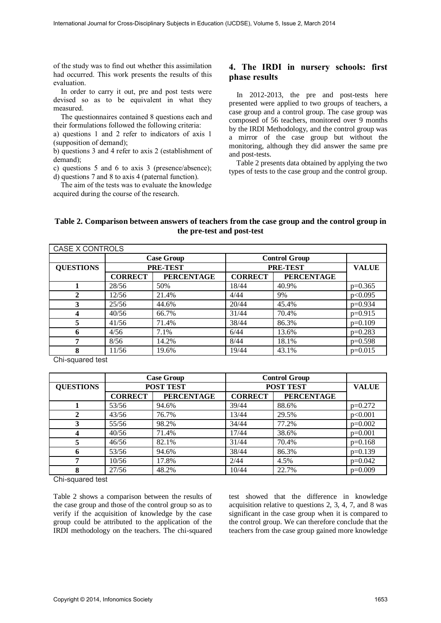of the study was to find out whether this assimilation had occurred. This work presents the results of this evaluation.

 In order to carry it out, pre and post tests were devised so as to be equivalent in what they measured.

 The questionnaires contained 8 questions each and their formulations followed the following criteria:

a) questions 1 and 2 refer to indicators of axis 1 (supposition of demand);

b) questions 3 and 4 refer to axis 2 (establishment of demand);

c) questions 5 and 6 to axis 3 (presence/absence); d) questions 7 and 8 to axis 4 (paternal function).

 The aim of the tests was to evaluate the knowledge acquired during the course of the research.

### **4. The IRDI in nursery schools: first phase results**

 In 2012-2013, the pre and post-tests here presented were applied to two groups of teachers, a case group and a control group. The case group was composed of 56 teachers, monitored over 9 months by the IRDI Methodology, and the control group was a mirror of the case group but without the monitoring, although they did answer the same pre and post-tests.

 Table 2 presents data obtained by applying the two types of tests to the case group and the control group.

### **Table 2. Comparison between answers of teachers from the case group and the control group in the pre-test and post-test**

| <b>CASE X CONTROLS</b> |                   |                   |                      |                   |              |  |  |  |  |
|------------------------|-------------------|-------------------|----------------------|-------------------|--------------|--|--|--|--|
|                        | <b>Case Group</b> |                   | <b>Control Group</b> |                   |              |  |  |  |  |
| <b>QUESTIONS</b>       | PRE-TEST          |                   |                      | PRE-TEST          | <b>VALUE</b> |  |  |  |  |
|                        | <b>CORRECT</b>    | <b>PERCENTAGE</b> | <b>CORRECT</b>       | <b>PERCENTAGE</b> |              |  |  |  |  |
|                        | 28/56             | 50%               | 18/44                | 40.9%             | $p=0.365$    |  |  |  |  |
| $\mathbf{2}$           | 12/56             | 21.4%             | 4/44                 | 9%                | p<0.095      |  |  |  |  |
| 3                      | 25/56             | 44.6%             | 20/44                | 45.4%             | $p=0.934$    |  |  |  |  |
| 4                      | 40/56             | 66.7%             | 31/44                | 70.4%             | $p=0.915$    |  |  |  |  |
| 5                      | 41/56             | 71.4%             | 38/44                | 86.3%             | $p=0.109$    |  |  |  |  |
| 6                      | 4/56              | 7.1%              | 6/44                 | 13.6%             | $p=0.283$    |  |  |  |  |
| 7                      | 8/56              | 14.2%             | 8/44                 | 18.1%             | $p=0.598$    |  |  |  |  |
| 8                      | 11/56             | 19.6%             | 19/44                | 43.1%             | $p=0.015$    |  |  |  |  |

Chi-squared test

|                  | <b>Case Group</b><br>POST TEST |                   | <b>Control Group</b> |                   |              |
|------------------|--------------------------------|-------------------|----------------------|-------------------|--------------|
| <b>QUESTIONS</b> |                                |                   |                      | <b>POST TEST</b>  | <b>VALUE</b> |
|                  | <b>CORRECT</b>                 | <b>PERCENTAGE</b> | <b>CORRECT</b>       | <b>PERCENTAGE</b> |              |
|                  | 53/56                          | 94.6%             | 39/44                | 88.6%             | $p=0.272$    |
| 2                | 43/56                          | 76.7%             | 13/44                | 29.5%             | p<0.001      |
| 3                | 55/56                          | 98.2%             | 34/44                | 77.2%             | $p=0.002$    |
| 4                | 40/56                          | 71.4%             | 17/44                | 38.6%             | $p=0.001$    |
|                  | 46/56                          | 82.1%             | 31/44                | 70.4%             | $p=0.168$    |
| 6                | 53/56                          | 94.6%             | 38/44                | 86.3%             | $p=0.139$    |
| 7                | 10/56                          | 17.8%             | 2/44                 | 4.5%              | $p=0.042$    |
| 8                | 27/56                          | 48.2%             | 10/44                | 22.7%             | $p=0.009$    |

Chi-squared test

Table 2 shows a comparison between the results of the case group and those of the control group so as to verify if the acquisition of knowledge by the case group could be attributed to the application of the IRDI methodology on the teachers. The chi-squared test showed that the difference in knowledge acquisition relative to questions 2, 3, 4, 7, and 8 was significant in the case group when it is compared to the control group. We can therefore conclude that the teachers from the case group gained more knowledge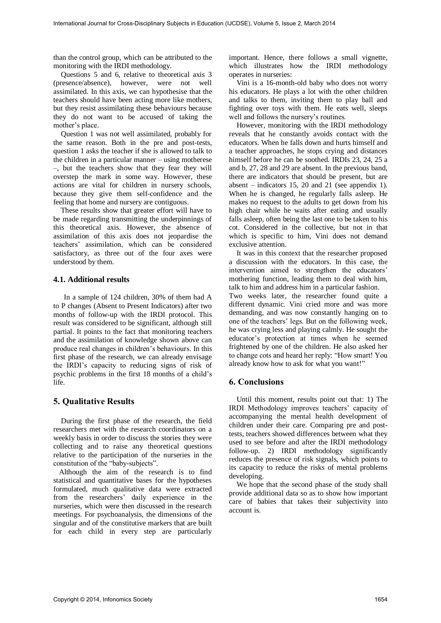than the control group, which can be attributed to the monitoring with the IRDI methodology.

 Questions 5 and 6, relative to theoretical axis 3 (presence/absence), however, were not well assimilated. In this axis, we can hypothesise that the teachers should have been acting more like mothers, but they resist assimilating these behaviours because they do not want to be accused of taking the mother's place.

 Question 1 was not well assimilated, probably for the same reason. Both in the pre and post-tests, question 1 asks the teacher if she is allowed to talk to the children in a particular manner – using motherese –, but the teachers show that they fear they will overstep the mark in some way. However, these actions are vital for children in nursery schools, because they give them self-confidence and the feeling that home and nursery are contiguous.

 These results show that greater effort will have to be made regarding transmitting the underpinnings of this theoretical axis. However, the absence of assimilation of this axis does not jeopardise the teachers' assimilation, which can be considered satisfactory, as three out of the four axes were understood by them.

#### **4.1. Additional results**

In a sample of 124 children, 30% of them had A to P changes (Absent to Present Indicators) after two months of follow-up with the IRDI protocol. This result was considered to be significant, although still partial. It points to the fact that monitoring teachers and the assimilation of knowledge shown above can produce real changes in children's behaviours. In this first phase of the research, we can already envisage the IRDI's capacity to reducing signs of risk of psychic problems in the first 18 months of a child's life.

### **5. Qualitative Results**

 During the first phase of the research, the field researchers met with the research coordinators on a weekly basis in order to discuss the stories they were collecting and to raise any theoretical questions relative to the participation of the nurseries in the constitution of the "baby-subjects".

 Although the aim of the research is to find statistical and quantitative bases for the hypotheses formulated, much qualitative data were extracted from the researchers' daily experience in the nurseries, which were then discussed in the research meetings. For psychoanalysis, the dimensions of the singular and of the constitutive markers that are built for each child in every step are particularly

important. Hence, there follows a small vignette, which illustrates how the IRDI methodology operates in nurseries:

 Vini is a 16-month-old baby who does not worry his educators. He plays a lot with the other children and talks to them, inviting them to play ball and fighting over toys with them. He eats well, sleeps well and follows the nursery's routines.

 However, monitoring with the IRDI methodology reveals that he constantly avoids contact with the educators. When he falls down and hurts himself and a teacher approaches, he stops crying and distances himself before he can be soothed. IRDIs 23, 24, 25 a and b, 27, 28 and 29 are absent. In the previous band, there are indicators that should be present, but are absent – indicators 15, 20 and 21 (see appendix 1). When he is changed, he regularly falls asleep. He makes no request to the adults to get down from his high chair while he waits after eating and usually falls asleep, often being the last one to be taken to his cot. Considered in the collective, but not in that which is specific to him, Vini does not demand exclusive attention.

 It was in this context that the researcher proposed a discussion with the educators. In this case, the intervention aimed to strengthen the educators' mothering function, leading them to deal with him, talk to him and address him in a particular fashion.

Two weeks later, the researcher found quite a different dynamic. Vini cried more and was more demanding, and was now constantly hanging on to one of the teachers' legs. But on the following week, he was crying less and playing calmly. He sought the educator's protection at times when he seemed frightened by one of the children. He also asked her to change cots and heard her reply: "How smart! You already know how to ask for what you want!"

#### **6. Conclusions**

 Until this moment, results point out that: 1) The IRDI Methodology improves teachers' capacity of accompanying the mental health development of children under their care. Comparing pre and posttests, teachers showed differences between what they used to see before and after the IRDI methodology follow-up. 2) IRDI methodology significantly reduces the presence of risk signals, which points to its capacity to reduce the risks of mental problems developing.

 We hope that the second phase of the study shall provide additional data so as to show how important care of babies that takes their subjectivity into account is.